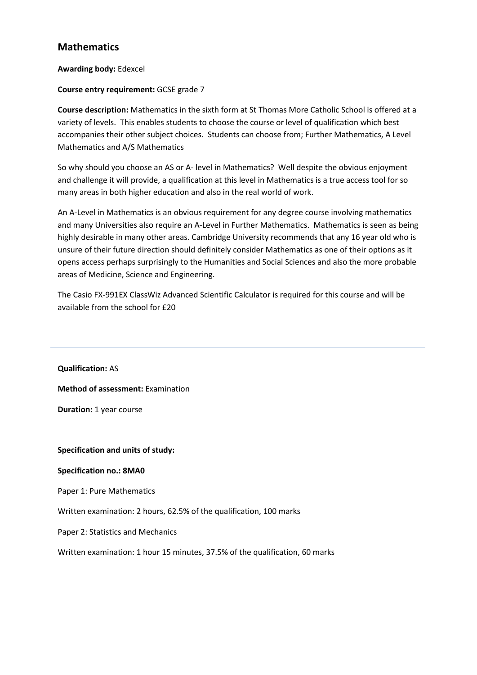# **Mathematics**

## **Awarding body:** Edexcel

## **Course entry requirement:** GCSE grade 7

**Course description:** Mathematics in the sixth form at St Thomas More Catholic School is offered at a variety of levels. This enables students to choose the course or level of qualification which best accompanies their other subject choices. Students can choose from; Further Mathematics, A Level Mathematics and A/S Mathematics

So why should you choose an AS or A- level in Mathematics? Well despite the obvious enjoyment and challenge it will provide, a qualification at this level in Mathematics is a true access tool for so many areas in both higher education and also in the real world of work.

An A-Level in Mathematics is an obvious requirement for any degree course involving mathematics and many Universities also require an A-Level in Further Mathematics. Mathematics is seen as being highly desirable in many other areas. Cambridge University recommends that any 16 year old who is unsure of their future direction should definitely consider Mathematics as one of their options as it opens access perhaps surprisingly to the Humanities and Social Sciences and also the more probable areas of Medicine, Science and Engineering.

The Casio FX-991EX ClassWiz Advanced Scientific Calculator is required for this course and will be available from the school for £20

**Qualification:** AS

**Method of assessment:** Examination

**Duration:** 1 year course

## **Specification and units of study:**

## **Specification no.: 8MA0**

Paper 1: Pure Mathematics

Written examination: 2 hours, 62.5% of the qualification, 100 marks

Paper 2: Statistics and Mechanics

Written examination: 1 hour 15 minutes, 37.5% of the qualification, 60 marks